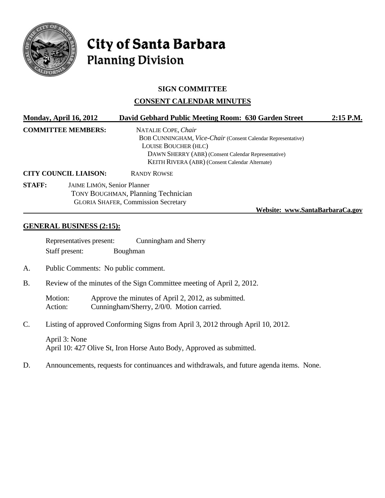

# City of Santa Barbara **Planning Division**

## **SIGN COMMITTEE**

## **CONSENT CALENDAR MINUTES**

|                              | Monday, April 16, 2012                                                                                                                                           | David Gebhard Public Meeting Room: 630 Garden Street                                                                                                                                                                         | $2:15$ P.M. |
|------------------------------|------------------------------------------------------------------------------------------------------------------------------------------------------------------|------------------------------------------------------------------------------------------------------------------------------------------------------------------------------------------------------------------------------|-------------|
| <b>COMMITTEE MEMBERS:</b>    |                                                                                                                                                                  | NATALIE COPE, Chair<br>BOB CUNNINGHAM, Vice-Chair (Consent Calendar Representative)<br><b>LOUISE BOUCHER (HLC)</b><br>DAWN SHERRY (ABR) (Consent Calendar Representative)<br>KEITH RIVERA (ABR) (Consent Calendar Alternate) |             |
| <b>CITY COUNCIL LIAISON:</b> |                                                                                                                                                                  | <b>RANDY ROWSE</b>                                                                                                                                                                                                           |             |
| <b>STAFF:</b>                | <b>JAIME LIMÓN, Senior Planner</b><br><b>TONY BOUGHMAN, Planning Technician</b><br><b>GLORIA SHAFER, Commission Secretary</b><br>Website: www.SantaBarbaraCa.gov |                                                                                                                                                                                                                              |             |

#### **GENERAL BUSINESS (2:15):**

| Representatives present: | Cunningham and Sherry |  |
|--------------------------|-----------------------|--|
| Staff present:           | Boughman              |  |

A. Public Comments: No public comment.

B. Review of the minutes of the Sign Committee meeting of April 2, 2012.

Motion: Approve the minutes of April 2, 2012, as submitted. Action: Cunningham/Sherry, 2/0/0. Motion carried.

C. Listing of approved Conforming Signs from April 3, 2012 through April 10, 2012.

April 3: None April 10: 427 Olive St, Iron Horse Auto Body, Approved as submitted.

D. Announcements, requests for continuances and withdrawals, and future agenda items. None.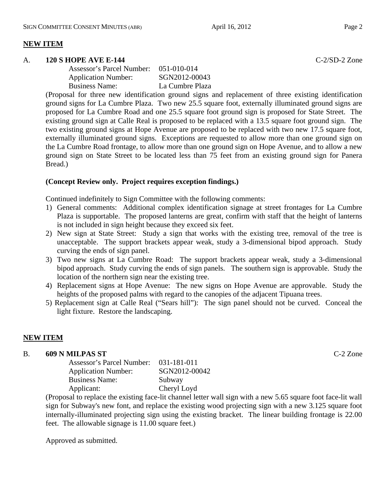# **NEW ITEM**

#### A. **120 S HOPE AVE E-144** C-2/SD-2 Zone

| Assessor's Parcel Number: 051-010-014 |                 |
|---------------------------------------|-----------------|
| <b>Application Number:</b>            | SGN2012-00043   |
| <b>Business Name:</b>                 | La Cumbre Plaza |

(Proposal for three new identification ground signs and replacement of three existing identification ground signs for La Cumbre Plaza. Two new 25.5 square foot, externally illuminated ground signs are proposed for La Cumbre Road and one 25.5 square foot ground sign is proposed for State Street. The existing ground sign at Calle Real is proposed to be replaced with a 13.5 square foot ground sign. The two existing ground signs at Hope Avenue are proposed to be replaced with two new 17.5 square foot, externally illuminated ground signs. Exceptions are requested to allow more than one ground sign on the La Cumbre Road frontage, to allow more than one ground sign on Hope Avenue, and to allow a new ground sign on State Street to be located less than 75 feet from an existing ground sign for Panera Bread.)

## **(Concept Review only. Project requires exception findings.)**

Continued indefinitely to Sign Committee with the following comments:

- 1) General comments: Additional complex identification signage at street frontages for La Cumbre Plaza is supportable. The proposed lanterns are great, confirm with staff that the height of lanterns is not included in sign height because they exceed six feet.
- 2) New sign at State Street: Study a sign that works with the existing tree, removal of the tree is unacceptable. The support brackets appear weak, study a 3-dimensional bipod approach. Study curving the ends of sign panel.
- 3) Two new signs at La Cumbre Road: The support brackets appear weak, study a 3-dimensional bipod approach. Study curving the ends of sign panels. The southern sign is approvable. Study the location of the northern sign near the existing tree.
- 4) Replacement signs at Hope Avenue: The new signs on Hope Avenue are approvable. Study the heights of the proposed palms with regard to the canopies of the adjacent Tipuana trees.
- 5) Replacement sign at Calle Real ("Sears hill"): The sign panel should not be curved. Conceal the light fixture. Restore the landscaping.

## **NEW ITEM**

#### B. **609 N MILPAS ST** C-2 Zone

| Assessor's Parcel Number:  | 031-181-011   |
|----------------------------|---------------|
| <b>Application Number:</b> | SGN2012-00042 |
| <b>Business Name:</b>      | Subway        |
| Applicant:                 | Cheryl Loyd   |

(Proposal to replace the existing face-lit channel letter wall sign with a new 5.65 square foot face-lit wall sign for Subway's new font, and replace the existing wood projecting sign with a new 3.125 square foot internally-illuminated projecting sign using the existing bracket. The linear building frontage is 22.00 feet. The allowable signage is 11.00 square feet.)

Approved as submitted.